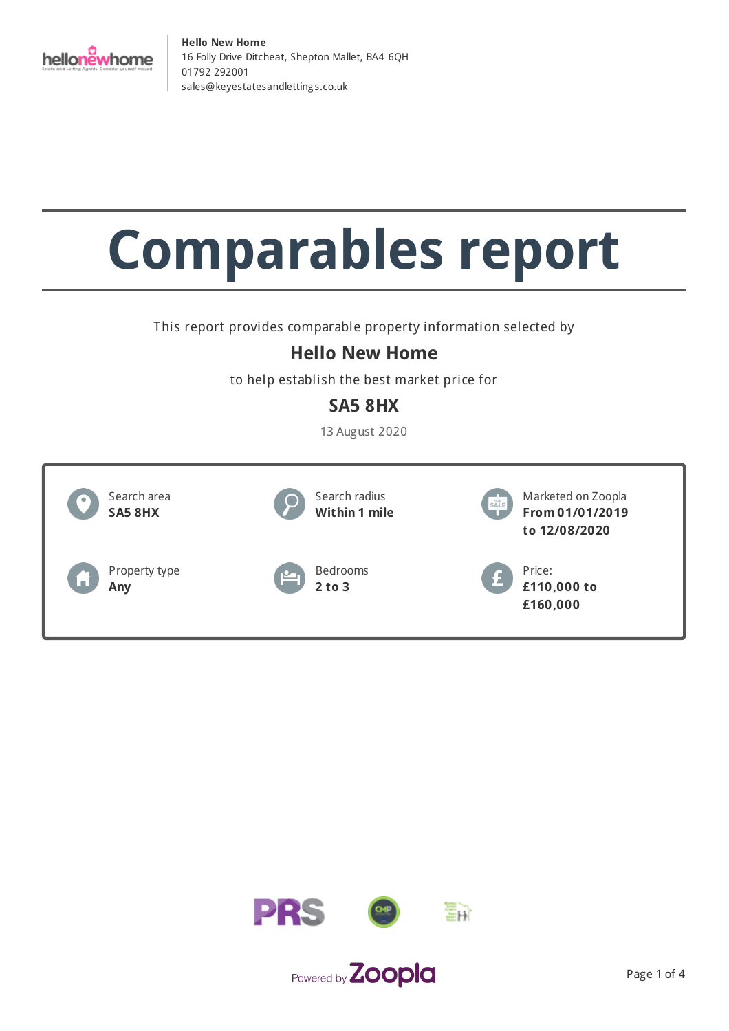

# **Comparables report**

This report provides comparable property information selected by

#### **Hello New Home**

to help establish the best market price for

#### **SA5 8HX**

13 August 2020



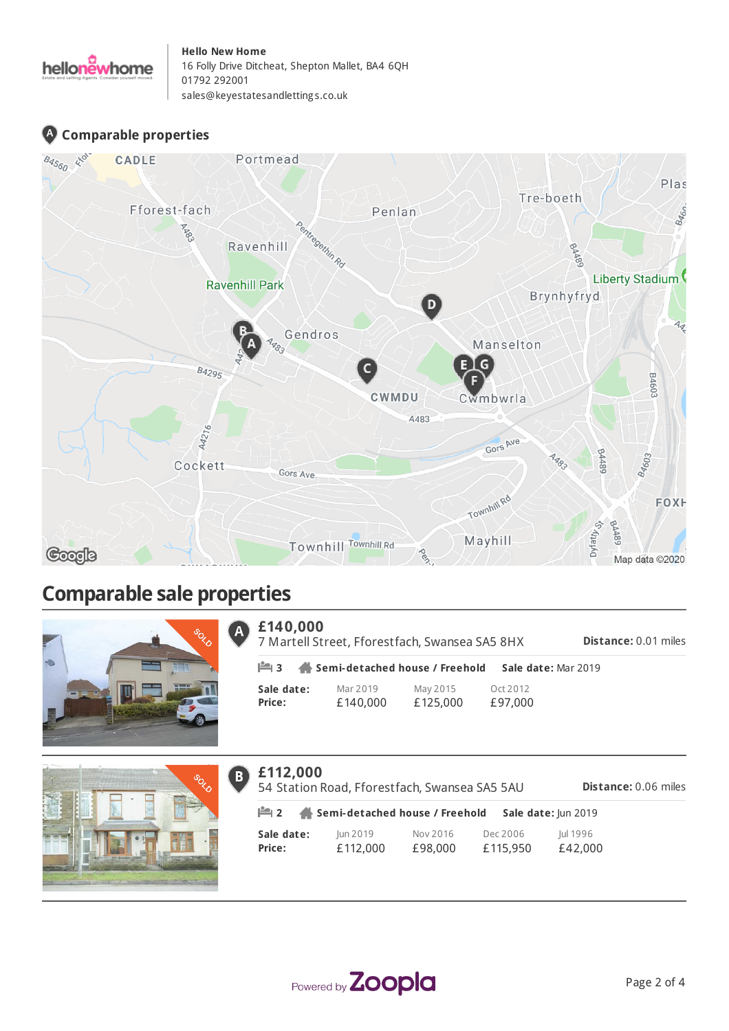

#### **Comparable properties**



### **Comparable sale properties**





| £140,000<br>7 Martell Street, Fforestfach, Swansea SA5 8HX<br><b>Distance: 0.01 miles</b> |                      |                                                            |                     |  |  |
|-------------------------------------------------------------------------------------------|----------------------|------------------------------------------------------------|---------------------|--|--|
|                                                                                           |                      | $\mathbb{H}$ 3 $\mathbb{A}$ Semi-detached house / Freehold | Sale date: Mar 2019 |  |  |
| Sale date:<br>Price:                                                                      | Mar 2019<br>£140,000 | May 2015<br>£125,000                                       | Ort 2012<br>£97,000 |  |  |



| B | £112,000<br>54 Station Road, Fforestfach, Swansea SA5 5AU<br><b>Distance: 0.06 miles</b> |                      |                     |                      |                     |  |
|---|------------------------------------------------------------------------------------------|----------------------|---------------------|----------------------|---------------------|--|
|   | $\mathbb{H}$ 2<br>Semi-detached house / Freehold<br>Sale date: Jun 2019                  |                      |                     |                      |                     |  |
|   | Sale date:<br>Price:                                                                     | Jun 2019<br>£112,000 | Nov 2016<br>£98,000 | Dec 2006<br>£115,950 | Jul 1996<br>£42,000 |  |

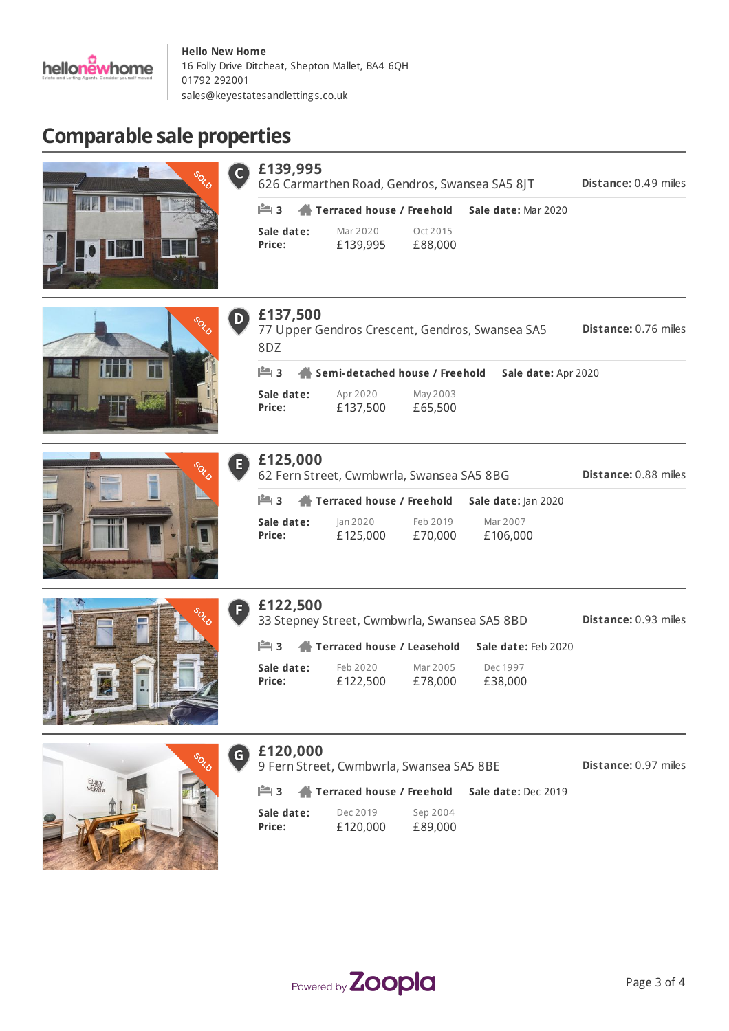

#### **Comparable sale properties**





| £120,000 |  |
|----------|--|
|----------|--|

 $\epsilon$ 9 Fern Street, Cwmbwrla, Swansea SA5 8BE

**Distance:** 0.97 miles

|               | $\mathbb{I}$ 3 $\mathbb{A}$ Terraced house / Freehold |          | Sale date: Dec 2019 |
|---------------|-------------------------------------------------------|----------|---------------------|
| Sale date:    | Dec 2019                                              | Sep 2004 |                     |
| <b>Price:</b> | £120,000                                              | £89,000  |                     |